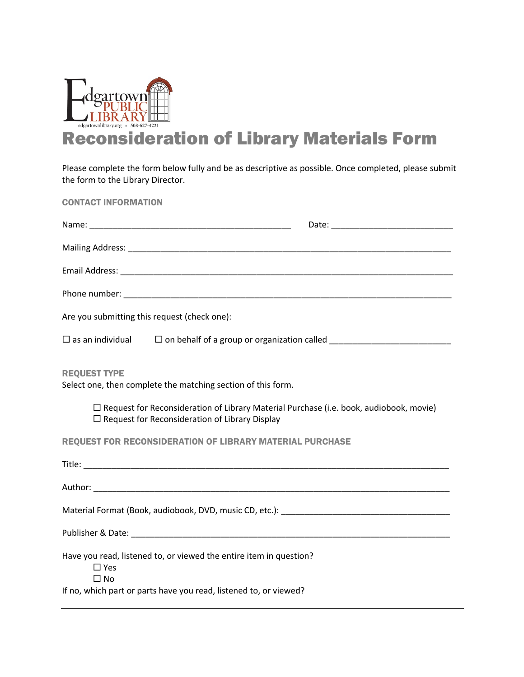

## Reconsideration of Library Materials Form

Please complete the form below fully and be as descriptive as possible. Once completed, please submit the form to the Library Director.

CONTACT INFORMATION

| Are you submitting this request (check one):                                                                                                      |                                                                                  |  |
|---------------------------------------------------------------------------------------------------------------------------------------------------|----------------------------------------------------------------------------------|--|
| $\square$ as an individual                                                                                                                        | □ on behalf of a group or organization called __________________________________ |  |
| <b>REQUEST TYPE</b><br>Select one, then complete the matching section of this form.                                                               |                                                                                  |  |
| □ Request for Reconsideration of Library Material Purchase (i.e. book, audiobook, movie)<br>$\Box$ Request for Reconsideration of Library Display |                                                                                  |  |
| <b>REQUEST FOR RECONSIDERATION OF LIBRARY MATERIAL PURCHASE</b>                                                                                   |                                                                                  |  |
|                                                                                                                                                   |                                                                                  |  |
|                                                                                                                                                   |                                                                                  |  |
|                                                                                                                                                   |                                                                                  |  |
|                                                                                                                                                   |                                                                                  |  |
| Have you read, listened to, or viewed the entire item in question?<br>$\square$ Yes<br>$\Box$ No                                                  |                                                                                  |  |
| If no, which part or parts have you read, listened to, or viewed?                                                                                 |                                                                                  |  |